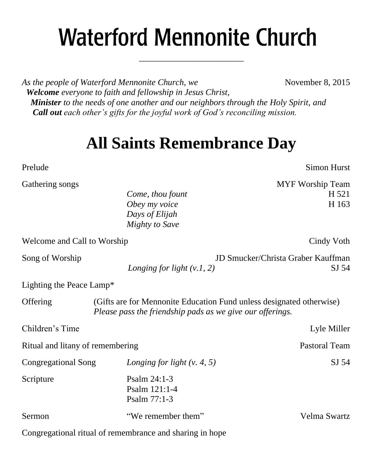# **Waterford Mennonite Church**

\_\_\_\_\_\_\_\_\_\_\_\_\_\_\_\_\_\_\_\_\_\_\_\_

*As the people of Waterford Mennonite Church, we* November 8, 2015  *Welcome everyone to faith and fellowship in Jesus Christ, Minister to the needs of one another and our neighbors through the Holy Spirit, and Call out each other's gifts for the joyful work of God's reconciling mission.*

# **All Saints Remembrance Day**

Gathering songs and the state of the state of the MYF Worship Team and the MYF Worship Team and the MYF Worship Team *Come, thou fount* H 521 *Obey my voice* H 163 *Days of Elijah Mighty to Save* Welcome and Call to Worship Cindy Voth Cindy Voth Song of Worship JD Smucker/Christa Graber Kauffman *Longing for light (v.1, 2)* SJ 54 Offering (Gifts are for Mennonite Education Fund unless designated otherwise) *Please pass the friendship pads as we give our offerings.* Children's Time Lyle Miller Ritual and litany of remembering Pastoral Team Congregational Song *Longing for light (v. 4, 5)* SJ 54 Scripture Psalm 24:1-3

Psalm 77:1-3 Sermon "We remember them" Velma Swartz Congregational ritual of remembrance and sharing in hope

Prelude Simon Hurst

Lighting the Peace Lamp\*

Psalm 121:1-4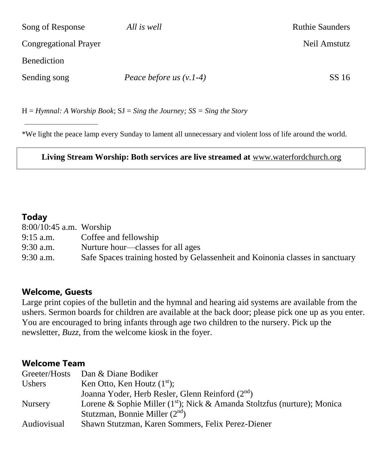| Song of Response             | All is well               | <b>Ruthie Saunders</b> |
|------------------------------|---------------------------|------------------------|
| <b>Congregational Prayer</b> |                           | Neil Amstutz           |
| <b>Benediction</b>           |                           |                        |
| Sending song                 | Peace before us $(v.1-4)$ | SS 16                  |

H = *Hymnal: A Worship Book*; SJ = *Sing the Journey; SS = Sing the Story*

\*We light the peace lamp every Sunday to lament all unnecessary and violent loss of life around the world.

**Living Stream Worship: Both services are live streamed at** [www.waterfordchurch.org](http://www.waterfordchurch.org/)

#### **Today**

| $8:00/10:45$ a.m. Worship |                                                                               |
|---------------------------|-------------------------------------------------------------------------------|
| $9:15$ a.m.               | Coffee and fellowship                                                         |
| $9:30$ a.m.               | Nurture hour—classes for all ages                                             |
| $9:30$ a.m.               | Safe Spaces training hosted by Gelassenheit and Koinonia classes in sanctuary |

#### **Welcome, Guests**

Large print copies of the bulletin and the hymnal and hearing aid systems are available from the ushers. Sermon boards for children are available at the back door; please pick one up as you enter. You are encouraged to bring infants through age two children to the nursery. Pick up the newsletter, *Buzz,* from the welcome kiosk in the foyer.

# **Welcome Team**

| Greeter/Hosts Dan & Diane Bodiker                                          |
|----------------------------------------------------------------------------|
| Ken Otto, Ken Houtz $(1st)$ ;                                              |
| Joanna Yoder, Herb Resler, Glenn Reinford (2 <sup>nd</sup> )               |
| Lorene & Sophie Miller $(1st)$ ; Nick & Amanda Stoltzfus (nurture); Monica |
| Stutzman, Bonnie Miller $(2nd)$                                            |
| Shawn Stutzman, Karen Sommers, Felix Perez-Diener                          |
|                                                                            |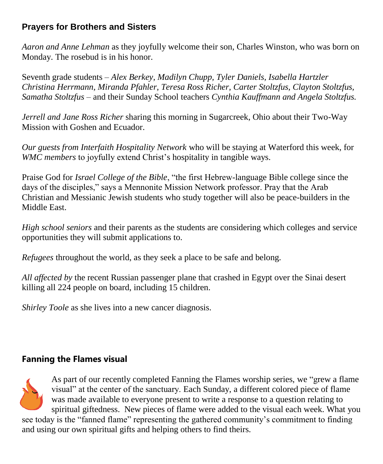# **Prayers for Brothers and Sisters**

*Aaron and Anne Lehman* as they joyfully welcome their son, Charles Winston, who was born on Monday. The rosebud is in his honor.

Seventh grade students *– Alex Berkey, Madilyn Chupp, Tyler Daniels, Isabella Hartzler Christina Herrmann, Miranda Pfahler, Teresa Ross Richer, Carter Stoltzfus, Clayton Stoltzfus, Samatha Stoltzfus –* and their Sunday School teachers *Cynthia Kauffmann and Angela Stoltzfus.* 

*Jerrell and Jane Ross Richer* sharing this morning in Sugarcreek, Ohio about their Two-Way Mission with Goshen and Ecuador.

*Our guests from Interfaith Hospitality Network* who will be staying at Waterford this week, for *WMC members* to joyfully extend Christ's hospitality in tangible ways.

Praise God for *Israel College of the Bible*, "the first Hebrew-language Bible college since the days of the disciples," says a Mennonite Mission Network professor. Pray that the Arab Christian and Messianic Jewish students who study together will also be peace-builders in the Middle East.

*High school seniors* and their parents as the students are considering which colleges and service opportunities they will submit applications to.

*Refugees* throughout the world, as they seek a place to be safe and belong.

*All affected by* the recent Russian passenger plane that crashed in Egypt over the Sinai desert killing all 224 people on board, including 15 children.

*Shirley Toole* as she lives into a new cancer diagnosis.

## **Fanning the Flames visual**



As part of our recently completed Fanning the Flames worship series, we "grew a flame visual" at the center of the sanctuary. Each Sunday, a different colored piece of flame was made available to everyone present to write a response to a question relating to spiritual giftedness. New pieces of flame were added to the visual each week. What you

see today is the "fanned flame" representing the gathered community's commitment to finding and using our own spiritual gifts and helping others to find theirs.